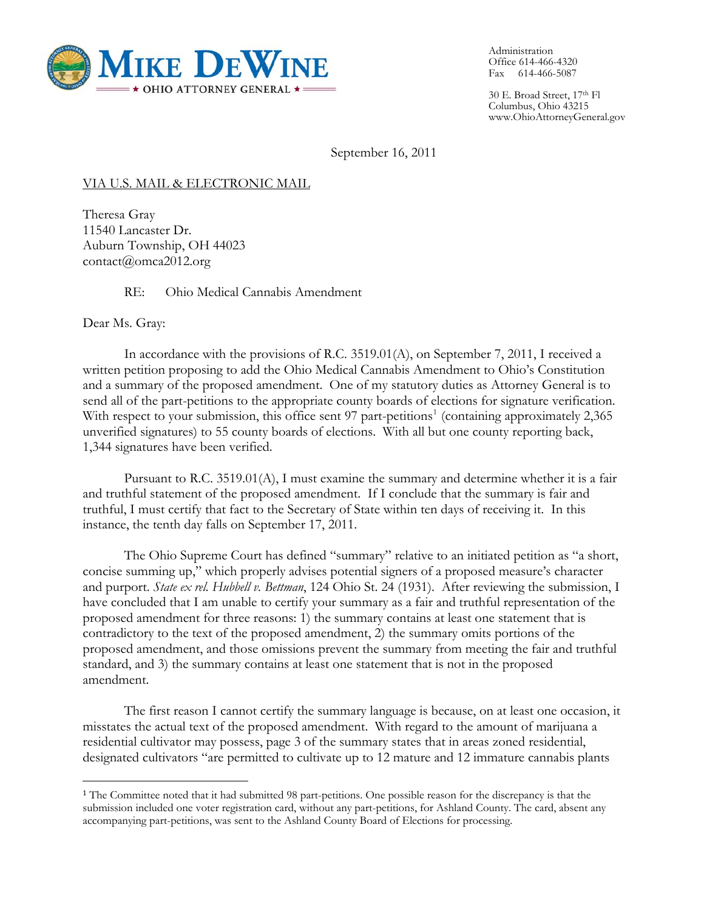

Administration Office 614-466-4320 Fax 614-466-5087

30 E. Broad Street, 17th Fl Columbus, Ohio 43215 www.OhioAttorneyGeneral.gov

September 16, 2011

### VIA U.S. MAIL & ELECTRONIC MAIL

Theresa Gray 11540 Lancaster Dr. Auburn Township, OH 44023 contact@omca2012.org

RE: Ohio Medical Cannabis Amendment

Dear Ms. Gray:

In accordance with the provisions of R.C. 3519.01(A), on September 7, 2011, I received a written petition proposing to add the Ohio Medical Cannabis Amendment to Ohio's Constitution and a summary of the proposed amendment. One of my statutory duties as Attorney General is to send all of the part-petitions to the appropriate county boards of elections for signature verification. With respect to your submission, this office sent 97 part-petitions<sup>[1](#page-0-0)</sup> (containing approximately 2,365) unverified signatures) to 55 county boards of elections. With all but one county reporting back, 1,344 signatures have been verified.

Pursuant to R.C. 3519.01(A), I must examine the summary and determine whether it is a fair and truthful statement of the proposed amendment. If I conclude that the summary is fair and truthful, I must certify that fact to the Secretary of State within ten days of receiving it. In this instance, the tenth day falls on September 17, 2011.

The Ohio Supreme Court has defined "summary" relative to an initiated petition as "a short, concise summing up," which properly advises potential signers of a proposed measure's character and purport. *State ex rel. Hubbell v. Bettman*, 124 Ohio St. 24 (1931). After reviewing the submission, I have concluded that I am unable to certify your summary as a fair and truthful representation of the proposed amendment for three reasons: 1) the summary contains at least one statement that is contradictory to the text of the proposed amendment, 2) the summary omits portions of the proposed amendment, and those omissions prevent the summary from meeting the fair and truthful standard, and 3) the summary contains at least one statement that is not in the proposed amendment.

 The first reason I cannot certify the summary language is because, on at least one occasion, it misstates the actual text of the proposed amendment. With regard to the amount of marijuana a residential cultivator may possess, page 3 of the summary states that in areas zoned residential, designated cultivators "are permitted to cultivate up to 12 mature and 12 immature cannabis plants

<span id="page-0-0"></span><sup>1</sup> The Committee noted that it had submitted 98 part-petitions. One possible reason for the discrepancy is that the submission included one voter registration card, without any part-petitions, for Ashland County. The card, absent any accompanying part-petitions, was sent to the Ashland County Board of Elections for processing.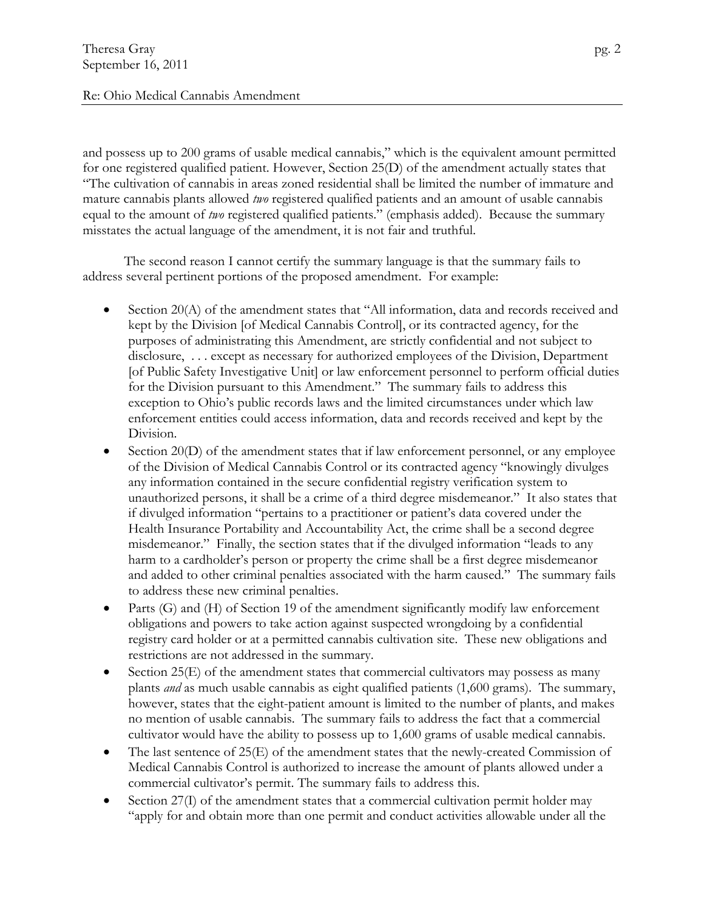### Re: Ohio Medical Cannabis Amendment

and possess up to 200 grams of usable medical cannabis," which is the equivalent amount permitted for one registered qualified patient. However, Section 25(D) of the amendment actually states that "The cultivation of cannabis in areas zoned residential shall be limited the number of immature and mature cannabis plants allowed *two* registered qualified patients and an amount of usable cannabis equal to the amount of *two* registered qualified patients." (emphasis added). Because the summary misstates the actual language of the amendment, it is not fair and truthful.

The second reason I cannot certify the summary language is that the summary fails to address several pertinent portions of the proposed amendment. For example:

- Section 20(A) of the amendment states that "All information, data and records received and kept by the Division [of Medical Cannabis Control], or its contracted agency, for the purposes of administrating this Amendment, are strictly confidential and not subject to disclosure, . . . except as necessary for authorized employees of the Division, Department [of Public Safety Investigative Unit] or law enforcement personnel to perform official duties for the Division pursuant to this Amendment." The summary fails to address this exception to Ohio's public records laws and the limited circumstances under which law enforcement entities could access information, data and records received and kept by the Division.
- Section 20(D) of the amendment states that if law enforcement personnel, or any employee of the Division of Medical Cannabis Control or its contracted agency "knowingly divulges any information contained in the secure confidential registry verification system to unauthorized persons, it shall be a crime of a third degree misdemeanor." It also states that if divulged information "pertains to a practitioner or patient's data covered under the Health Insurance Portability and Accountability Act, the crime shall be a second degree misdemeanor." Finally, the section states that if the divulged information "leads to any harm to a cardholder's person or property the crime shall be a first degree misdemeanor and added to other criminal penalties associated with the harm caused." The summary fails to address these new criminal penalties.
- Parts (G) and (H) of Section 19 of the amendment significantly modify law enforcement obligations and powers to take action against suspected wrongdoing by a confidential registry card holder or at a permitted cannabis cultivation site. These new obligations and restrictions are not addressed in the summary.
- Section 25(E) of the amendment states that commercial cultivators may possess as many plants *and* as much usable cannabis as eight qualified patients (1,600 grams). The summary, however, states that the eight-patient amount is limited to the number of plants, and makes no mention of usable cannabis. The summary fails to address the fact that a commercial cultivator would have the ability to possess up to 1,600 grams of usable medical cannabis.
- The last sentence of 25(E) of the amendment states that the newly-created Commission of Medical Cannabis Control is authorized to increase the amount of plants allowed under a commercial cultivator's permit. The summary fails to address this.
- Section 27(I) of the amendment states that a commercial cultivation permit holder may "apply for and obtain more than one permit and conduct activities allowable under all the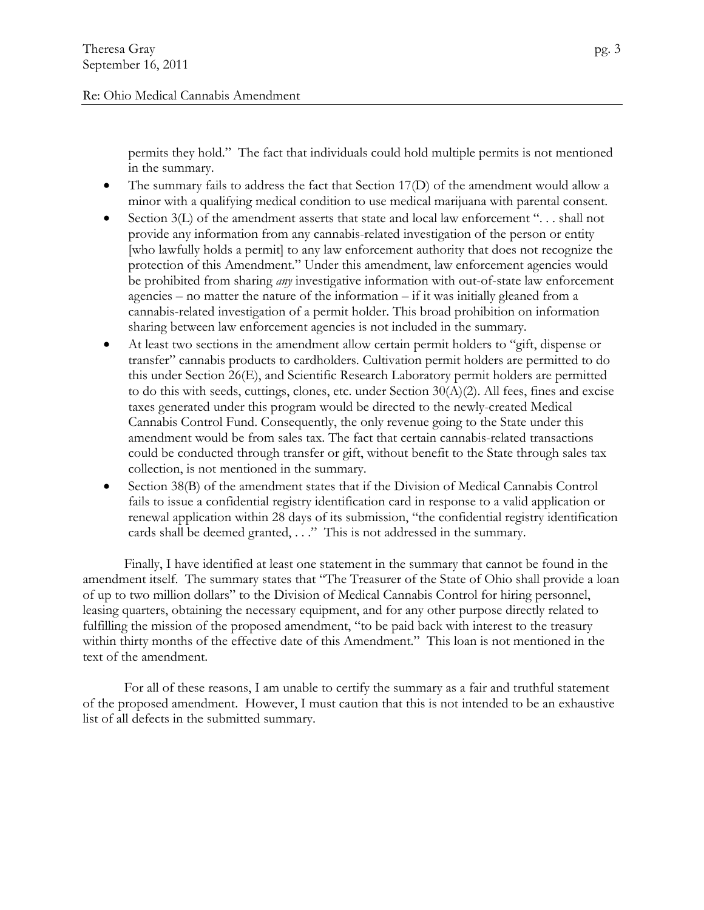### Re: Ohio Medical Cannabis Amendment

permits they hold." The fact that individuals could hold multiple permits is not mentioned in the summary.

- The summary fails to address the fact that Section 17(D) of the amendment would allow a minor with a qualifying medical condition to use medical marijuana with parental consent.
- Section  $3(L)$  of the amendment asserts that state and local law enforcement "... shall not provide any information from any cannabis-related investigation of the person or entity [who lawfully holds a permit] to any law enforcement authority that does not recognize the protection of this Amendment." Under this amendment, law enforcement agencies would be prohibited from sharing *any* investigative information with out-of-state law enforcement agencies – no matter the nature of the information – if it was initially gleaned from a cannabis-related investigation of a permit holder. This broad prohibition on information sharing between law enforcement agencies is not included in the summary.
- At least two sections in the amendment allow certain permit holders to "gift, dispense or transfer" cannabis products to cardholders. Cultivation permit holders are permitted to do this under Section 26(E), and Scientific Research Laboratory permit holders are permitted to do this with seeds, cuttings, clones, etc. under Section 30(A)(2). All fees, fines and excise taxes generated under this program would be directed to the newly-created Medical Cannabis Control Fund. Consequently, the only revenue going to the State under this amendment would be from sales tax. The fact that certain cannabis-related transactions could be conducted through transfer or gift, without benefit to the State through sales tax collection, is not mentioned in the summary.
- Section 38(B) of the amendment states that if the Division of Medical Cannabis Control fails to issue a confidential registry identification card in response to a valid application or renewal application within 28 days of its submission, "the confidential registry identification cards shall be deemed granted, . . ." This is not addressed in the summary.

 Finally, I have identified at least one statement in the summary that cannot be found in the amendment itself. The summary states that "The Treasurer of the State of Ohio shall provide a loan of up to two million dollars" to the Division of Medical Cannabis Control for hiring personnel, leasing quarters, obtaining the necessary equipment, and for any other purpose directly related to fulfilling the mission of the proposed amendment, "to be paid back with interest to the treasury within thirty months of the effective date of this Amendment." This loan is not mentioned in the text of the amendment.

 For all of these reasons, I am unable to certify the summary as a fair and truthful statement of the proposed amendment. However, I must caution that this is not intended to be an exhaustive list of all defects in the submitted summary.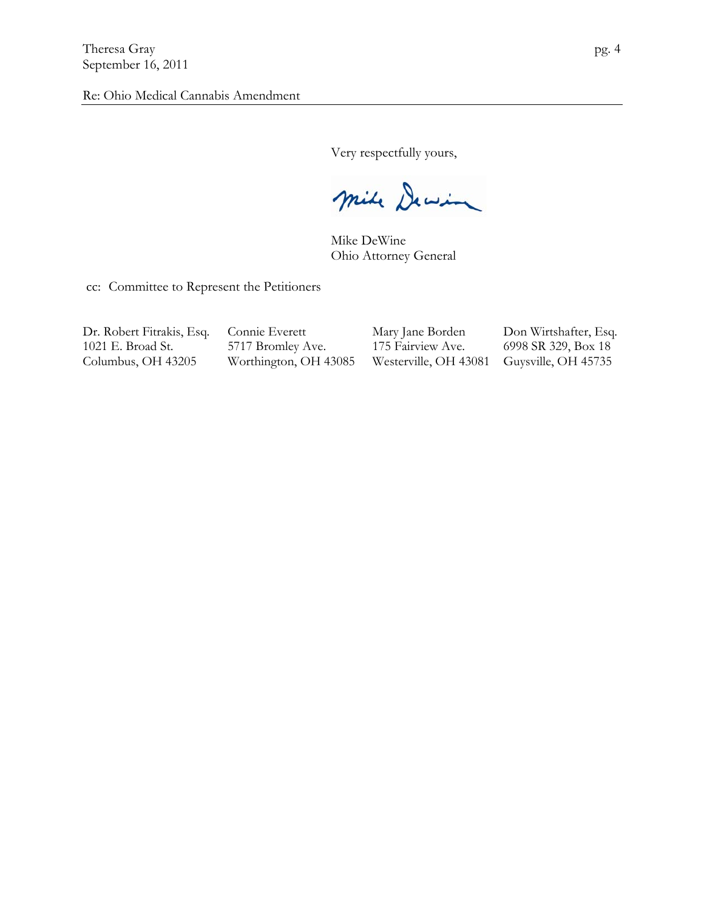Very respectfully yours,

mile Dewin

Mike DeWine Ohio Attorney General

cc: Committee to Represent the Petitioners

1021 E. Broad St. 5717 Bromley Ave. 175 Fairview Ave. 6998 SR 329, Box 18

Dr. Robert Fitrakis, Esq. Connie Everett Mary Jane Borden Don Wirtshafter, Esq. Columbus, OH 43205 Worthington, OH 43085 Westerville, OH 43081 Guysville, OH 45735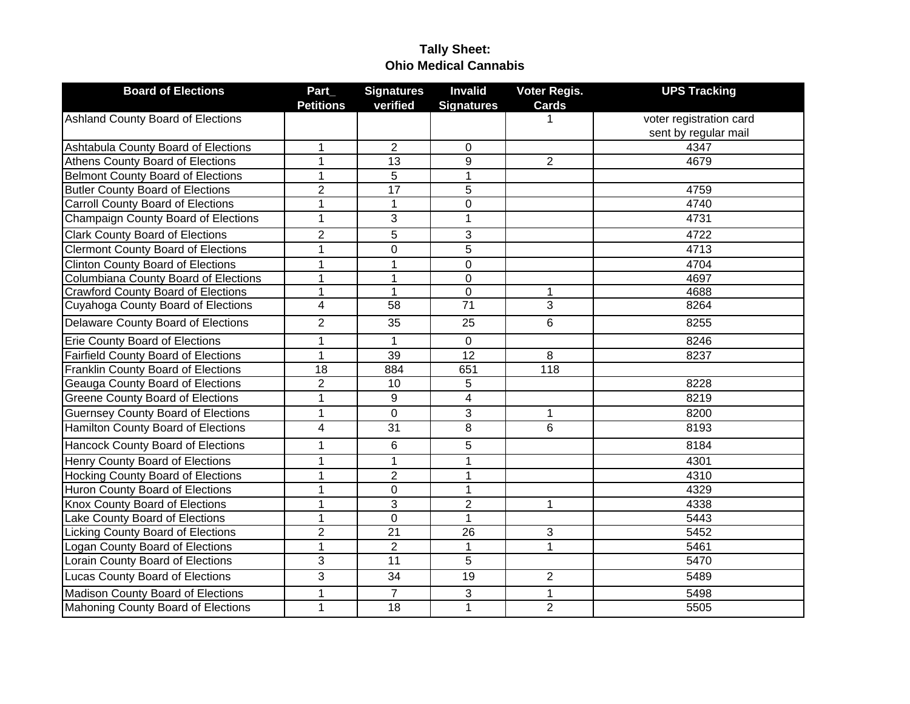# **Tally Sheet: Ohio Medical Cannabis**

| <b>Board of Elections</b>                  | Part_            | <b>Signatures</b> | <b>Invalid</b>          | Voter Regis.   | <b>UPS Tracking</b>     |
|--------------------------------------------|------------------|-------------------|-------------------------|----------------|-------------------------|
|                                            | <b>Petitions</b> | verified          | <b>Signatures</b>       | <b>Cards</b>   |                         |
| <b>Ashland County Board of Elections</b>   |                  |                   |                         |                | voter registration card |
|                                            |                  |                   |                         |                | sent by regular mail    |
| Ashtabula County Board of Elections        | $\mathbf{1}$     | $\overline{2}$    | $\mathbf 0$             |                | 4347                    |
| Athens County Board of Elections           | $\overline{1}$   | 13                | $\overline{9}$          | $\overline{2}$ | 4679                    |
| <b>Belmont County Board of Elections</b>   | $\overline{1}$   | $\overline{5}$    | $\mathbf{1}$            |                |                         |
| <b>Butler County Board of Elections</b>    | $\overline{2}$   | 17                | $\overline{5}$          |                | 4759                    |
| <b>Carroll County Board of Elections</b>   | $\mathbf{1}$     | $\mathbf{1}$      | 0                       |                | 4740                    |
| Champaign County Board of Elections        | $\mathbf{1}$     | 3                 | $\mathbf{1}$            |                | 4731                    |
| <b>Clark County Board of Elections</b>     | $\overline{2}$   | $\overline{5}$    | 3                       |                | 4722                    |
| <b>Clermont County Board of Elections</b>  | $\overline{1}$   | $\overline{0}$    | $\overline{5}$          |                | 4713                    |
| <b>Clinton County Board of Elections</b>   | $\mathbf{1}$     | $\mathbf{1}$      | 0                       |                | 4704                    |
| Columbiana County Board of Elections       | $\mathbf{1}$     | 1                 | 0                       |                | 4697                    |
| <b>Crawford County Board of Elections</b>  | $\mathbf{1}$     | $\mathbf 1$       | 0                       | 1              | 4688                    |
| Cuyahoga County Board of Elections         | 4                | 58                | $\overline{71}$         | $\overline{3}$ | 8264                    |
| Delaware County Board of Elections         | $\overline{2}$   | 35                | $\overline{25}$         | $\overline{6}$ | 8255                    |
| <b>Erie County Board of Elections</b>      | $\mathbf{1}$     | 1                 | 0                       |                | 8246                    |
| <b>Fairfield County Board of Elections</b> | $\mathbf{1}$     | 39                | 12                      | 8              | 8237                    |
| Franklin County Board of Elections         | 18               | 884               | 651                     | 118            |                         |
| Geauga County Board of Elections           | $\overline{2}$   | 10                | 5                       |                | 8228                    |
| <b>Greene County Board of Elections</b>    | $\mathbf{1}$     | 9                 | $\overline{\mathbf{4}}$ |                | 8219                    |
| <b>Guernsey County Board of Elections</b>  | $\mathbf{1}$     | $\mathbf 0$       | 3                       | 1              | 8200                    |
| Hamilton County Board of Elections         | 4                | 31                | 8                       | 6              | 8193                    |
| Hancock County Board of Elections          | $\mathbf{1}$     | 6                 | 5                       |                | 8184                    |
| Henry County Board of Elections            | 1                | $\mathbf{1}$      | $\mathbf{1}$            |                | 4301                    |
| <b>Hocking County Board of Elections</b>   | $\mathbf{1}$     | $\overline{2}$    | $\mathbf{1}$            |                | 4310                    |
| Huron County Board of Elections            | $\mathbf{1}$     | $\mathbf 0$       | $\mathbf{1}$            |                | 4329                    |
| Knox County Board of Elections             | $\mathbf{1}$     | 3                 | $\overline{2}$          | $\mathbf{1}$   | 4338                    |
| Lake County Board of Elections             | $\mathbf{1}$     | $\mathbf 0$       | $\mathbf{1}$            |                | 5443                    |
| Licking County Board of Elections          | $\overline{2}$   | $\overline{21}$   | $\overline{26}$         | $\overline{3}$ | 5452                    |
| Logan County Board of Elections            | $\overline{1}$   | $\overline{2}$    | $\mathbf{1}$            | $\overline{1}$ | 5461                    |
| Lorain County Board of Elections           | $\overline{3}$   | 11                | $\overline{5}$          |                | 5470                    |
| <b>Lucas County Board of Elections</b>     | 3                | 34                | 19                      | $\overline{2}$ | 5489                    |
| Madison County Board of Elections          | $\mathbf{1}$     | $\overline{7}$    | 3                       | 1              | 5498                    |
| Mahoning County Board of Elections         | $\mathbf{1}$     | 18                | $\mathbf{1}$            | $\overline{2}$ | 5505                    |